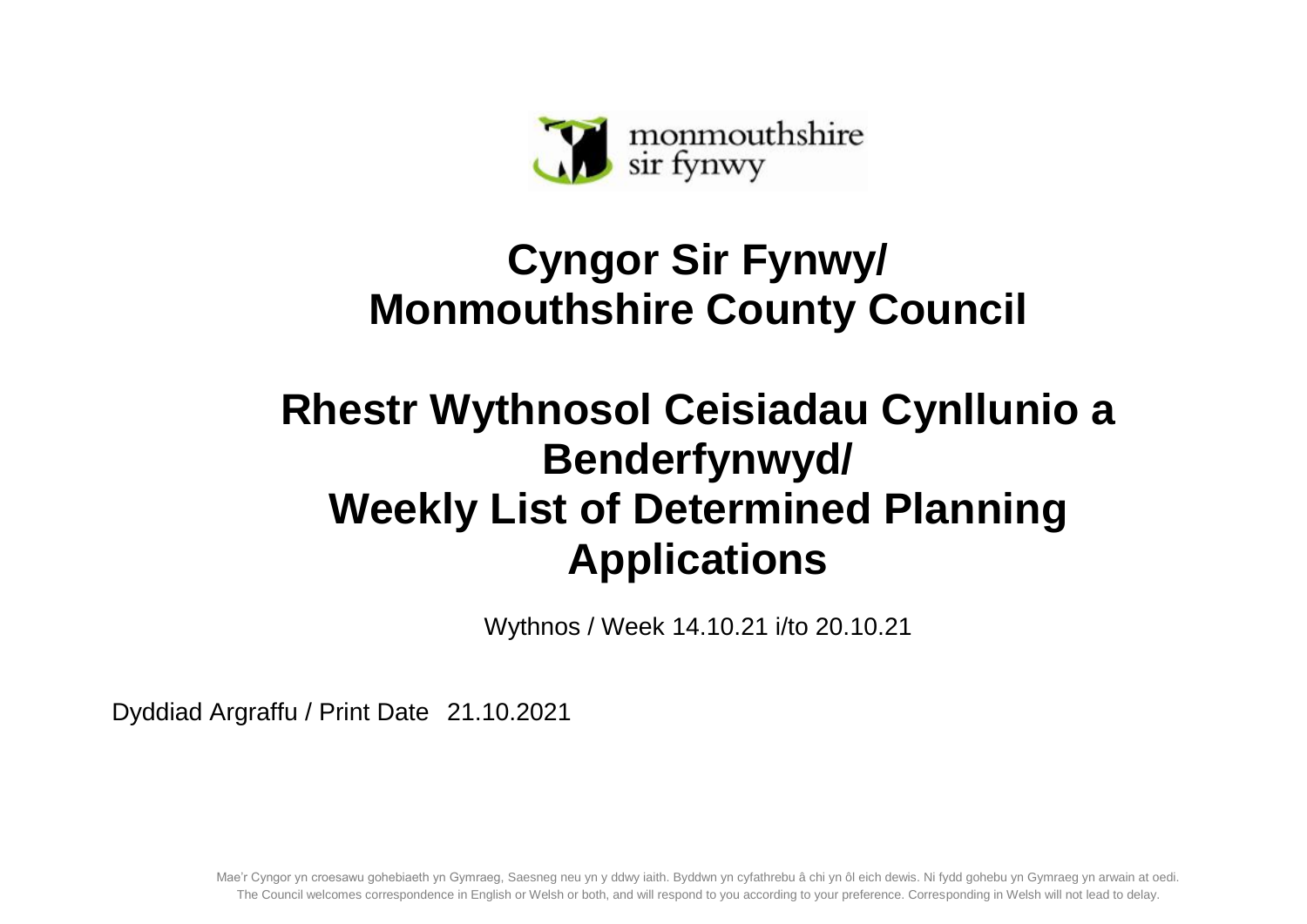

## **Cyngor Sir Fynwy/ Monmouthshire County Council**

## **Rhestr Wythnosol Ceisiadau Cynllunio a Benderfynwyd/ Weekly List of Determined Planning Applications**

Wythnos / Week 14.10.21 i/to 20.10.21

Dyddiad Argraffu / Print Date 21.10.2021

Mae'r Cyngor yn croesawu gohebiaeth yn Gymraeg, Saesneg neu yn y ddwy iaith. Byddwn yn cyfathrebu â chi yn ôl eich dewis. Ni fydd gohebu yn Gymraeg yn arwain at oedi. The Council welcomes correspondence in English or Welsh or both, and will respond to you according to your preference. Corresponding in Welsh will not lead to delay.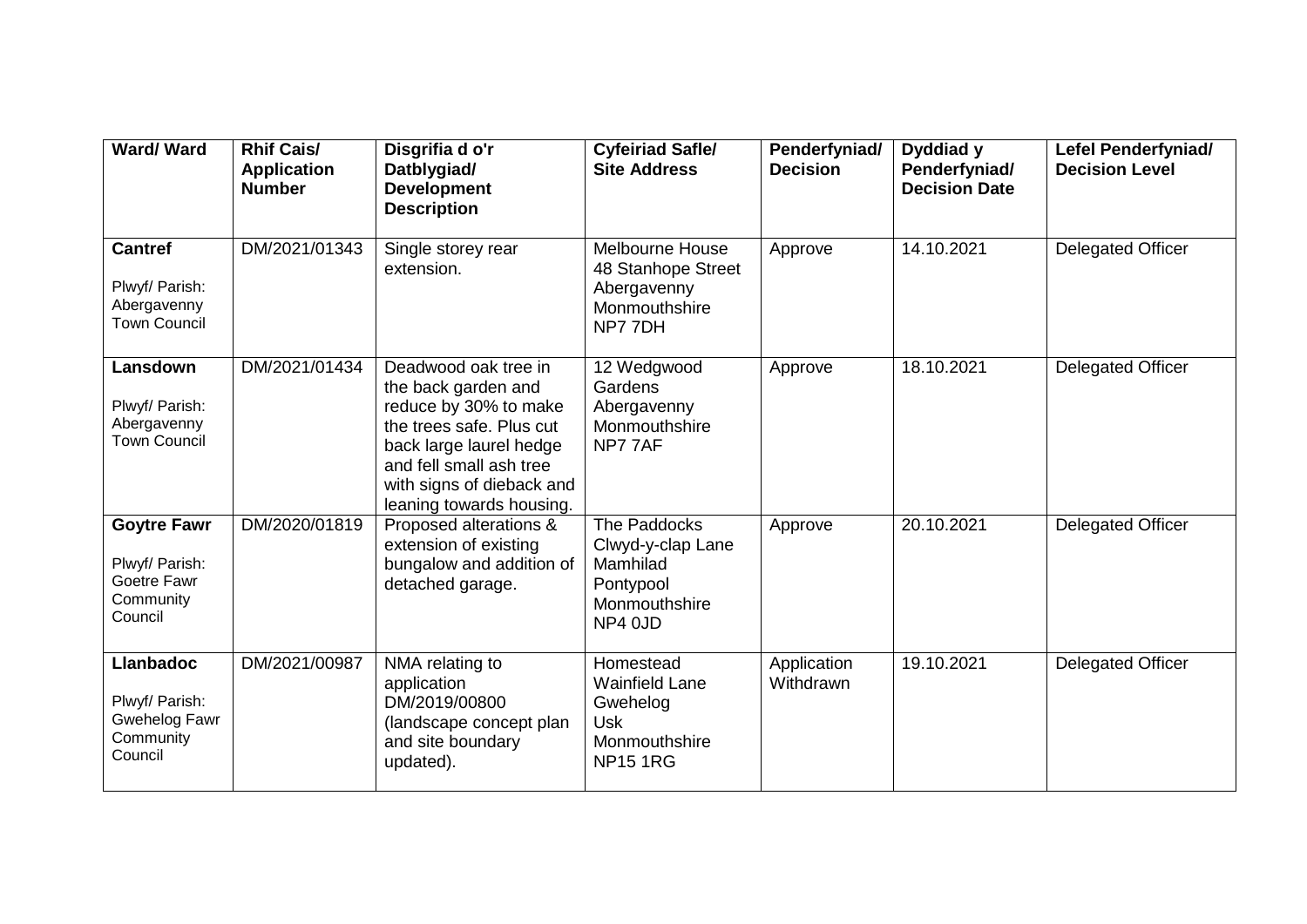| <b>Ward/Ward</b>                                                            | <b>Rhif Cais/</b><br><b>Application</b><br><b>Number</b> | Disgrifia d o'r<br>Datblygiad/<br><b>Development</b><br><b>Description</b>                                                                                                                                      | <b>Cyfeiriad Safle/</b><br><b>Site Address</b>                                                   | Penderfyniad/<br><b>Decision</b> | Dyddiad y<br>Penderfyniad/<br><b>Decision Date</b> | Lefel Penderfyniad/<br><b>Decision Level</b> |
|-----------------------------------------------------------------------------|----------------------------------------------------------|-----------------------------------------------------------------------------------------------------------------------------------------------------------------------------------------------------------------|--------------------------------------------------------------------------------------------------|----------------------------------|----------------------------------------------------|----------------------------------------------|
| <b>Cantref</b><br>Plwyf/ Parish:<br>Abergavenny<br><b>Town Council</b>      | DM/2021/01343                                            | Single storey rear<br>extension.                                                                                                                                                                                | Melbourne House<br>48 Stanhope Street<br>Abergavenny<br>Monmouthshire<br>NP77DH                  | Approve                          | 14.10.2021                                         | Delegated Officer                            |
| Lansdown<br>Plwyf/ Parish:<br>Abergavenny<br><b>Town Council</b>            | DM/2021/01434                                            | Deadwood oak tree in<br>the back garden and<br>reduce by 30% to make<br>the trees safe. Plus cut<br>back large laurel hedge<br>and fell small ash tree<br>with signs of dieback and<br>leaning towards housing. | 12 Wedgwood<br>Gardens<br>Abergavenny<br>Monmouthshire<br>NP77AF                                 | Approve                          | 18.10.2021                                         | Delegated Officer                            |
| <b>Goytre Fawr</b><br>Plwyf/ Parish:<br>Goetre Fawr<br>Community<br>Council | DM/2020/01819                                            | Proposed alterations &<br>extension of existing<br>bungalow and addition of<br>detached garage.                                                                                                                 | The Paddocks<br>Clwyd-y-clap Lane<br>Mamhilad<br>Pontypool<br>Monmouthshire<br>NP4 0JD           | Approve                          | 20.10.2021                                         | Delegated Officer                            |
| <b>Llanbadoc</b><br>Plwyf/ Parish:<br>Gwehelog Fawr<br>Community<br>Council | DM/2021/00987                                            | NMA relating to<br>application<br>DM/2019/00800<br>(landscape concept plan<br>and site boundary<br>updated).                                                                                                    | Homestead<br><b>Wainfield Lane</b><br>Gwehelog<br><b>Usk</b><br>Monmouthshire<br><b>NP15 1RG</b> | Application<br>Withdrawn         | 19.10.2021                                         | Delegated Officer                            |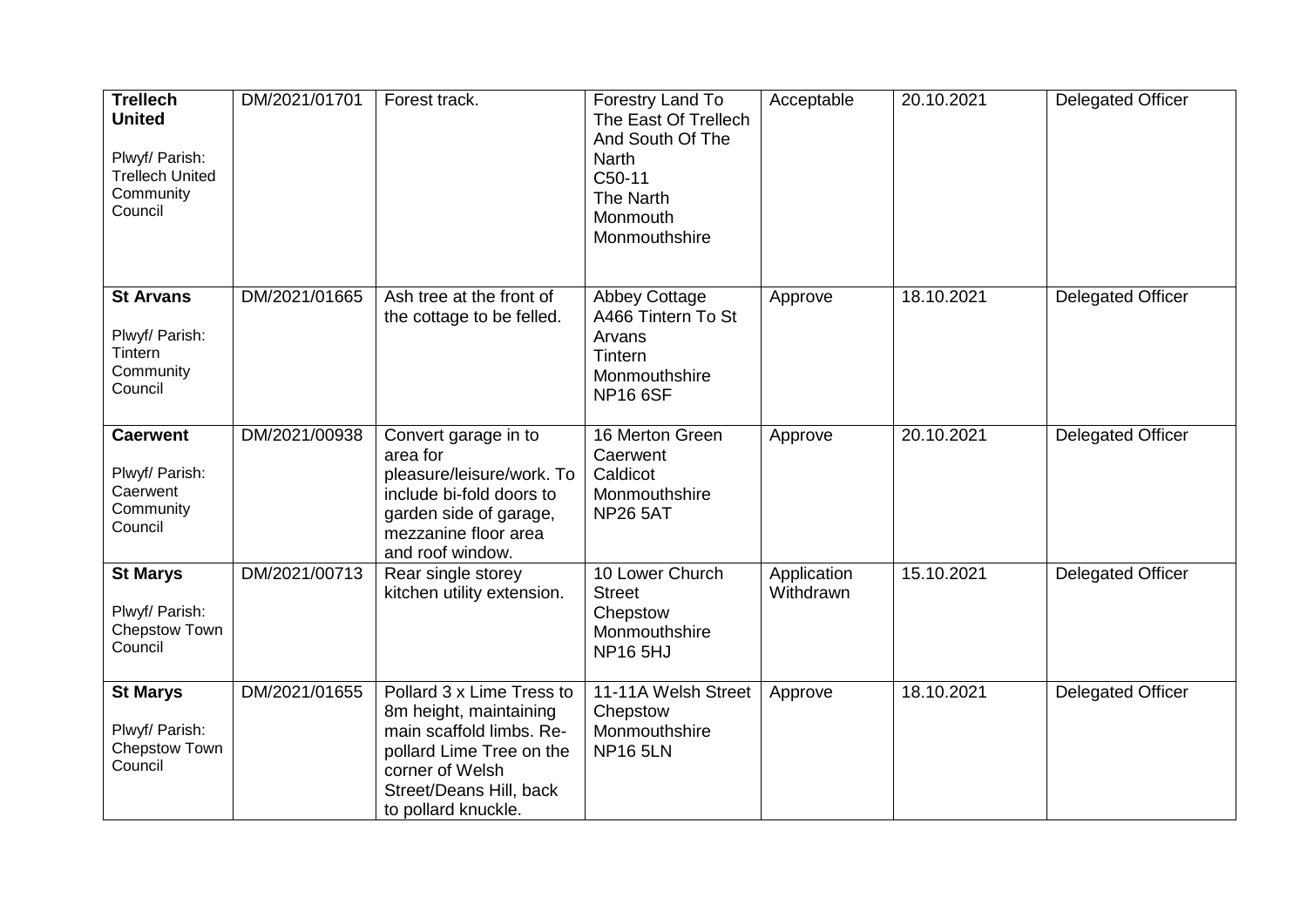| <b>Trellech</b><br><b>United</b><br>Plwyf/ Parish:<br><b>Trellech United</b><br>Community<br>Council | DM/2021/01701 | Forest track.                                                                                                                                                                    | Forestry Land To<br>The East Of Trellech<br>And South Of The<br><b>Narth</b><br>C50-11<br>The Narth<br>Monmouth<br>Monmouthshire | Acceptable               | 20.10.2021 | <b>Delegated Officer</b> |
|------------------------------------------------------------------------------------------------------|---------------|----------------------------------------------------------------------------------------------------------------------------------------------------------------------------------|----------------------------------------------------------------------------------------------------------------------------------|--------------------------|------------|--------------------------|
| <b>St Arvans</b><br>Plwyf/ Parish:<br>Tintern<br>Community<br>Council                                | DM/2021/01665 | Ash tree at the front of<br>the cottage to be felled.                                                                                                                            | <b>Abbey Cottage</b><br>A466 Tintern To St<br>Arvans<br>Tintern<br>Monmouthshire<br><b>NP166SF</b>                               | Approve                  | 18.10.2021 | <b>Delegated Officer</b> |
| <b>Caerwent</b><br>Plwyf/ Parish:<br>Caerwent<br>Community<br>Council                                | DM/2021/00938 | Convert garage in to<br>area for<br>pleasure/leisure/work. To<br>include bi-fold doors to<br>garden side of garage,<br>mezzanine floor area<br>and roof window.                  | 16 Merton Green<br>Caerwent<br>Caldicot<br>Monmouthshire<br><b>NP26 5AT</b>                                                      | Approve                  | 20.10.2021 | <b>Delegated Officer</b> |
| <b>St Marys</b><br>Plwyf/ Parish:<br>Chepstow Town<br>Council                                        | DM/2021/00713 | Rear single storey<br>kitchen utility extension.                                                                                                                                 | 10 Lower Church<br><b>Street</b><br>Chepstow<br>Monmouthshire<br><b>NP165HJ</b>                                                  | Application<br>Withdrawn | 15.10.2021 | <b>Delegated Officer</b> |
| <b>St Marys</b><br>Plwyf/ Parish:<br>Chepstow Town<br>Council                                        | DM/2021/01655 | Pollard 3 x Lime Tress to<br>8m height, maintaining<br>main scaffold limbs. Re-<br>pollard Lime Tree on the<br>corner of Welsh<br>Street/Deans Hill, back<br>to pollard knuckle. | 11-11A Welsh Street<br>Chepstow<br>Monmouthshire<br><b>NP16 5LN</b>                                                              | Approve                  | 18.10.2021 | <b>Delegated Officer</b> |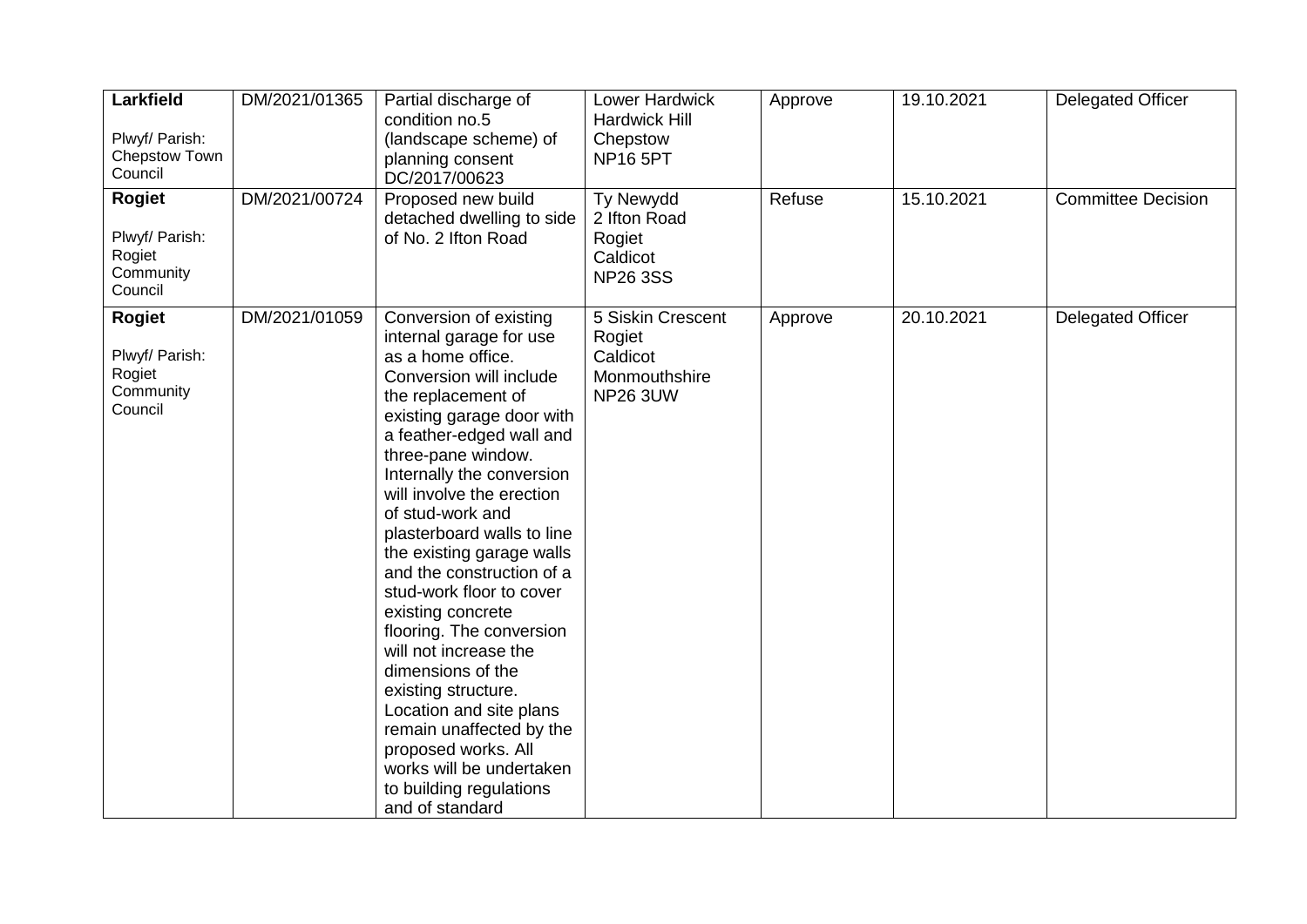| Larkfield<br>Plwyf/ Parish:<br>Chepstow Town<br>Council           | DM/2021/01365 | Partial discharge of<br>condition no.5<br>(landscape scheme) of<br>planning consent<br>DC/2017/00623                                                                                                                                                                                                                                                                                                                                                                                                                                                                                                                                                                                   | Lower Hardwick<br><b>Hardwick Hill</b><br>Chepstow<br><b>NP16 5PT</b>       | Approve | 19.10.2021 | <b>Delegated Officer</b>  |
|-------------------------------------------------------------------|---------------|----------------------------------------------------------------------------------------------------------------------------------------------------------------------------------------------------------------------------------------------------------------------------------------------------------------------------------------------------------------------------------------------------------------------------------------------------------------------------------------------------------------------------------------------------------------------------------------------------------------------------------------------------------------------------------------|-----------------------------------------------------------------------------|---------|------------|---------------------------|
| <b>Rogiet</b><br>Plwyf/ Parish:<br>Rogiet<br>Community<br>Council | DM/2021/00724 | Proposed new build<br>detached dwelling to side<br>of No. 2 Ifton Road                                                                                                                                                                                                                                                                                                                                                                                                                                                                                                                                                                                                                 | Ty Newydd<br>2 Ifton Road<br>Rogiet<br>Caldicot<br><b>NP26 3SS</b>          | Refuse  | 15.10.2021 | <b>Committee Decision</b> |
| <b>Rogiet</b><br>Plwyf/ Parish:<br>Rogiet<br>Community<br>Council | DM/2021/01059 | Conversion of existing<br>internal garage for use<br>as a home office.<br>Conversion will include<br>the replacement of<br>existing garage door with<br>a feather-edged wall and<br>three-pane window.<br>Internally the conversion<br>will involve the erection<br>of stud-work and<br>plasterboard walls to line<br>the existing garage walls<br>and the construction of a<br>stud-work floor to cover<br>existing concrete<br>flooring. The conversion<br>will not increase the<br>dimensions of the<br>existing structure.<br>Location and site plans<br>remain unaffected by the<br>proposed works. All<br>works will be undertaken<br>to building regulations<br>and of standard | 5 Siskin Crescent<br>Rogiet<br>Caldicot<br>Monmouthshire<br><b>NP26 3UW</b> | Approve | 20.10.2021 | <b>Delegated Officer</b>  |